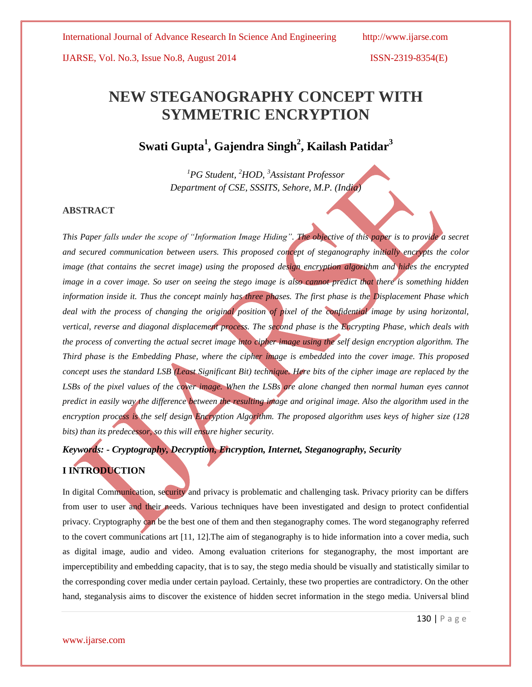# **NEW STEGANOGRAPHY CONCEPT WITH SYMMETRIC ENCRYPTION**

# **Swati Gupta<sup>1</sup> , Gajendra Singh<sup>2</sup> , Kailash Patidar<sup>3</sup>**

*<sup>1</sup>PG Student, <sup>2</sup>HOD, <sup>3</sup>Assistant Professor Department of CSE, SSSITS, Sehore, M.P. (India)*

### **ABSTRACT**

*This Paper falls under the scope of "Information Image Hiding". The objective of this paper is to provide a secret and secured communication between users. This proposed concept of steganography initially encrypts the color image (that contains the secret image) using the proposed design encryption algorithm and hides the encrypted image in a cover image. So user on seeing the stego image is also cannot predict that there is something hidden information inside it. Thus the concept mainly has three phases. The first phase is the Displacement Phase which*  deal with the process of changing the original position of pixel of the confidential image by using horizontal, *vertical, reverse and diagonal displacement process. The second phase is the Encrypting Phase, which deals with the process of converting the actual secret image into cipher image using the self design encryption algorithm. The Third phase is the Embedding Phase, where the cipher image is embedded into the cover image. This proposed concept uses the standard LSB (Least Significant Bit) technique. Here bits of the cipher image are replaced by the* LSBs of the pixel values of the cover image. When the LSBs are alone changed then normal human eyes cannot *predict in easily way the difference between the resulting image and original image. Also the algorithm used in the encryption process is the self design Encryption Algorithm. The proposed algorithm uses keys of higher size (128 bits) than its predecessor, so this will ensure higher security.* 

# *Keywords:* **-** *Cryptography, Decryption, Encryption, Internet, Steganography, Security*

# **I INTRODUCTION**

In digital Communication, security and privacy is problematic and challenging task. Privacy priority can be differs from user to user and their needs. Various techniques have been investigated and design to protect confidential privacy. Cryptography can be the best one of them and then steganography comes. The word steganography referred to the covert communications art [11, 12].The aim of steganography is to hide information into a cover media, such as digital image, audio and video. Among evaluation criterions for steganography, the most important are imperceptibility and embedding capacity, that is to say, the stego media should be visually and statistically similar to the corresponding cover media under certain payload. Certainly, these two properties are contradictory. On the other hand, steganalysis aims to discover the existence of hidden secret information in the stego media. Universal blind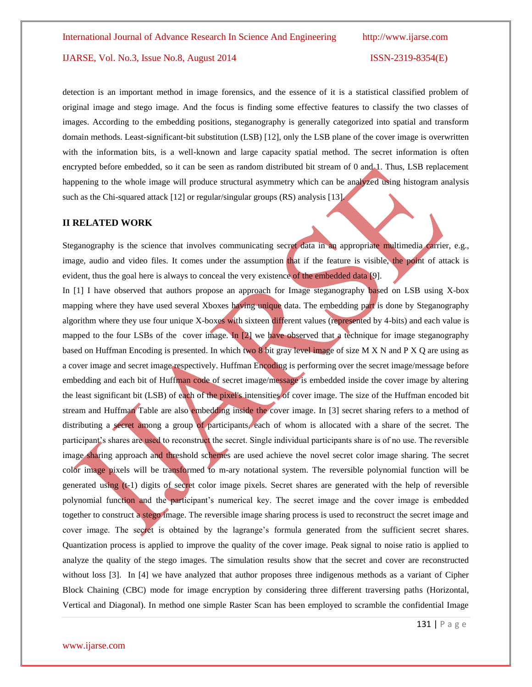detection is an important method in image forensics, and the essence of it is a statistical classified problem of original image and stego image. And the focus is finding some effective features to classify the two classes of images. According to the embedding positions, steganography is generally categorized into spatial and transform domain methods. Least-significant-bit substitution (LSB) [12], only the LSB plane of the cover image is overwritten with the information bits, is a well-known and large capacity spatial method. The secret information is often encrypted before embedded, so it can be seen as random distributed bit stream of 0 and 1. Thus, LSB replacement happening to the whole image will produce structural asymmetry which can be analyzed using histogram analysis such as the Chi-squared attack [12] or regular/singular groups (RS) analysis [13].

### **II RELATED WORK**

Steganography is the science that involves communicating secret data in an appropriate multimedia carrier, e.g., image, audio and video files. It comes under the assumption that if the feature is visible, the point of attack is evident, thus the goal here is always to conceal the very existence of the embedded data [9].

In [1] I have observed that authors propose an approach for Image steganography based on LSB using X-box mapping where they have used several Xboxes having unique data. The embedding part is done by Steganography algorithm where they use four unique X-boxes with sixteen different values (represented by 4-bits) and each value is mapped to the four LSBs of the cover image. In [2] we have observed that a technique for image steganography based on Huffman Encoding is presented. In which two 8 bit gray level image of size M X N and P X Q are using as a cover image and secret image respectively. Huffman Encoding is performing over the secret image/message before embedding and each bit of Huffman code of secret image/message is embedded inside the cover image by altering the least significant bit (LSB) of each of the pixel's intensities of cover image. The size of the Huffman encoded bit stream and Huffman Table are also embedding inside the cover image. In [3] secret sharing refers to a method of distributing a secret among a group of participants, each of whom is allocated with a share of the secret. The participant's shares are used to reconstruct the secret. Single individual participants share is of no use. The reversible image sharing approach and threshold schemes are used achieve the novel secret color image sharing. The secret color image pixels will be transformed to m-ary notational system. The reversible polynomial function will be generated using  $(t-1)$  digits of secret color image pixels. Secret shares are generated with the help of reversible polynomial function and the participant's numerical key. The secret image and the cover image is embedded together to construct a stego image. The reversible image sharing process is used to reconstruct the secret image and cover image. The secret is obtained by the lagrange's formula generated from the sufficient secret shares. Quantization process is applied to improve the quality of the cover image. Peak signal to noise ratio is applied to analyze the quality of the stego images. The simulation results show that the secret and cover are reconstructed without loss [3]. In [4] we have analyzed that author proposes three indigenous methods as a variant of Cipher Block Chaining (CBC) mode for image encryption by considering three different traversing paths (Horizontal, Vertical and Diagonal). In method one simple Raster Scan has been employed to scramble the confidential Image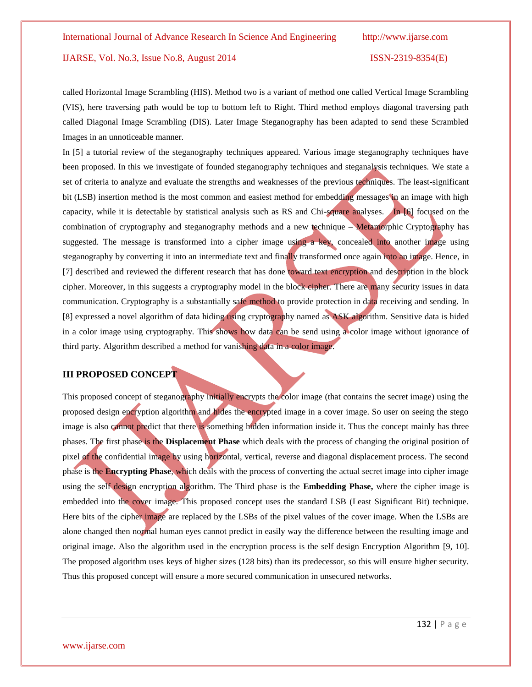called Horizontal Image Scrambling (HIS). Method two is a variant of method one called Vertical Image Scrambling (VIS), here traversing path would be top to bottom left to Right. Third method employs diagonal traversing path called Diagonal Image Scrambling (DIS). Later Image Steganography has been adapted to send these Scrambled Images in an unnoticeable manner.

In [5] a tutorial review of the steganography techniques appeared. Various image steganography techniques have been proposed. In this we investigate of founded steganography techniques and steganalysis techniques. We state a set of criteria to analyze and evaluate the strengths and weaknesses of the previous techniques. The least-significant bit (LSB) insertion method is the most common and easiest method for embedding messages in an image with high capacity, while it is detectable by statistical analysis such as RS and Chi-square analyses. In [6] focused on the combination of cryptography and steganography methods and a new technique – Metamorphic Cryptography has suggested. The message is transformed into a cipher image using a key, concealed into another image using steganography by converting it into an intermediate text and finally transformed once again into an image. Hence, in [7] described and reviewed the different research that has done toward text encryption and description in the block cipher. Moreover, in this suggests a cryptography model in the block cipher. There are many security issues in data communication. Cryptography is a substantially safe method to provide protection in data receiving and sending. In [8] expressed a novel algorithm of data hiding using cryptography named as ASK algorithm. Sensitive data is hided in a color image using cryptography. This shows how data can be send using a color image without ignorance of third party. Algorithm described a method for vanishing data in a color image.

# **III PROPOSED CONCEPT**

This proposed concept of steganography initially encrypts the color image (that contains the secret image) using the proposed design encryption algorithm and hides the encrypted image in a cover image. So user on seeing the stego image is also cannot predict that there is something hidden information inside it. Thus the concept mainly has three phases. The first phase is the **Displacement Phase** which deals with the process of changing the original position of pixel of the confidential image by using horizontal, vertical, reverse and diagonal displacement process. The second phase is the **Encrypting Phase**, which deals with the process of converting the actual secret image into cipher image using the self design encryption algorithm. The Third phase is the **Embedding Phase,** where the cipher image is embedded into the cover image. This proposed concept uses the standard LSB (Least Significant Bit) technique. Here bits of the cipher image are replaced by the LSBs of the pixel values of the cover image. When the LSBs are alone changed then normal human eyes cannot predict in easily way the difference between the resulting image and original image. Also the algorithm used in the encryption process is the self design Encryption Algorithm [9, 10]. The proposed algorithm uses keys of higher sizes (128 bits) than its predecessor, so this will ensure higher security. Thus this proposed concept will ensure a more secured communication in unsecured networks.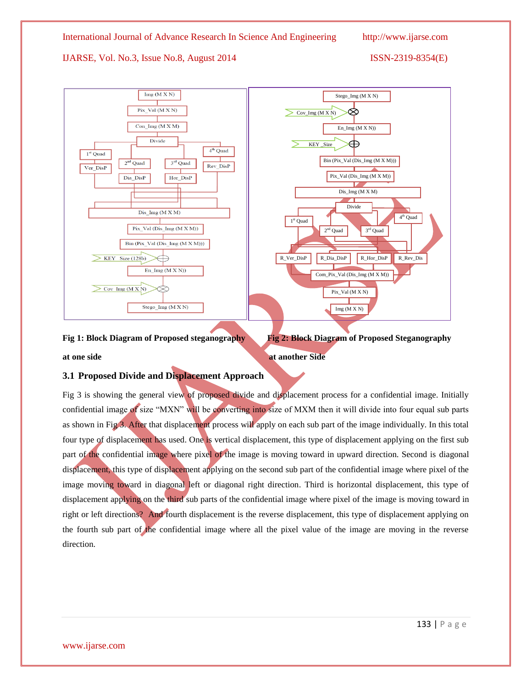

**Fig 1: Block Diagram of Proposed steganography Fig 2: Block Diagram of Proposed Steganography** 

**at one side at another Side** 

# **3.1 Proposed Divide and Displacement Approach**

Fig 3 is showing the general view of proposed divide and displacement process for a confidential image. Initially confidential image of size "MXN" will be converting into size of MXM then it will divide into four equal sub parts as shown in Fig 3. After that displacement process will apply on each sub part of the image individually. In this total four type of displacement has used. One is vertical displacement, this type of displacement applying on the first sub part of the confidential image where pixel of the image is moving toward in upward direction. Second is diagonal displacement, this type of displacement applying on the second sub part of the confidential image where pixel of the image moving toward in diagonal left or diagonal right direction. Third is horizontal displacement, this type of displacement applying on the third sub parts of the confidential image where pixel of the image is moving toward in right or left directions? And fourth displacement is the reverse displacement, this type of displacement applying on the fourth sub part of the confidential image where all the pixel value of the image are moving in the reverse direction.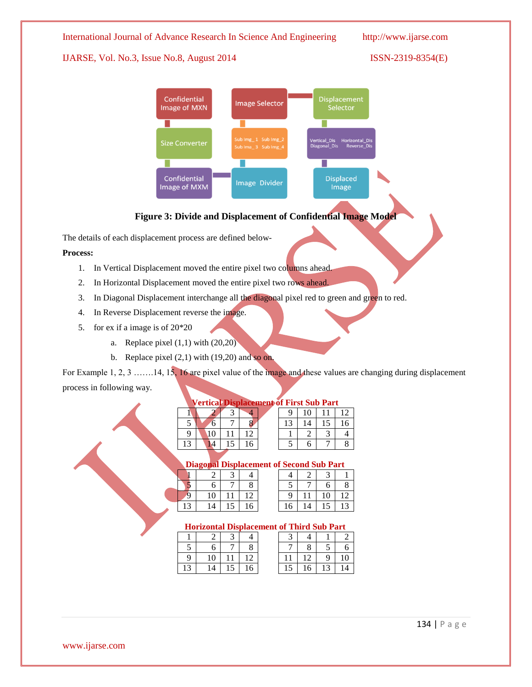International Journal of Advance Research In Science And Engineering http://www.ijarse.com

# IJARSE, Vol. No.3, Issue No.8, August 2014 ISSN-2319-8354(E)



# **Figure 3: Divide and Displacement of Confidential Image Model**

The details of each displacement process are defined below-

### **Process:**

- 1. In Vertical Displacement moved the entire pixel two columns ahead.
- 2. In Horizontal Displacement moved the entire pixel two rows ahead.
- 3. In Diagonal Displacement interchange all the diagonal pixel red to green and green to red.
- 4. In Reverse Displacement reverse the image.
- 5. for ex if a image is of 20\*20
	- a. Replace pixel  $(1,1)$  with  $(20,20)$
	- b. Replace pixel  $(2,1)$  with  $(19,20)$  and so on.

For Example 1, 2, 3 ……..14, 15, 16 are pixel value of the image and these values are changing during displacement process in following way.

|   | v ertical Displaceme |  |   |  |  |  |  |  |  |
|---|----------------------|--|---|--|--|--|--|--|--|
|   |                      |  |   |  |  |  |  |  |  |
|   | 6                    |  |   |  |  |  |  |  |  |
| q | 10                   |  |   |  |  |  |  |  |  |
|   |                      |  | 6 |  |  |  |  |  |  |
|   |                      |  |   |  |  |  |  |  |  |

|    | <b>Vertical Displacement of First Sub Part</b> |  |  |  |  |    |  |  |  |
|----|------------------------------------------------|--|--|--|--|----|--|--|--|
|    |                                                |  |  |  |  | 10 |  |  |  |
|    | ი                                              |  |  |  |  | 14 |  |  |  |
|    |                                                |  |  |  |  |    |  |  |  |
| 13 |                                                |  |  |  |  |    |  |  |  |

### **Diagonal Displacement**

|    | -  |    |    |    |    |    |    |
|----|----|----|----|----|----|----|----|
|    |    |    |    |    |    |    |    |
|    |    |    |    |    |    | o  | 8  |
|    | 10 |    |    |    |    | 10 | 12 |
| 13 | 14 | IJ | 16 | 16 | ι4 | 15 | 13 |

| Diago <b>na</b> l Displacement of Second Sub Part |    |  |  |  |  |  |  |  |  |
|---------------------------------------------------|----|--|--|--|--|--|--|--|--|
|                                                   |    |  |  |  |  |  |  |  |  |
|                                                   |    |  |  |  |  |  |  |  |  |
|                                                   | 10 |  |  |  |  |  |  |  |  |
| ⌒                                                 |    |  |  |  |  |  |  |  |  |

# **Horizontal Displacement of Third Sub Part**

|    |    |    |    |    |    |    | 6  |
|----|----|----|----|----|----|----|----|
| -9 | 10 |    | 12 |    | 12 | 9. | 10 |
| 13 | 14 | 15 | 16 | 15 | 16 | 13 | 14 |

| t of Thinu dub I art |   |   |   |  |  |  |  |
|----------------------|---|---|---|--|--|--|--|
|                      | 4 |   |   |  |  |  |  |
|                      | 8 | 5 | h |  |  |  |  |
|                      |   | Q | 0 |  |  |  |  |
|                      | 6 |   | 4 |  |  |  |  |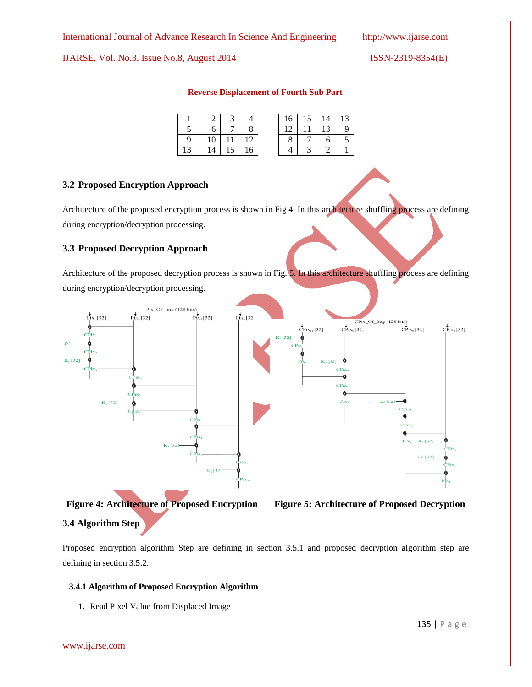### **Reverse Displacement of Fourth Sub Part**

|   |    |                      |    | 16 | 15 | 14 | 13 |
|---|----|----------------------|----|----|----|----|----|
|   | 6  |                      |    |    |    | 13 | 9  |
| 9 | 10 |                      |    |    |    |    | -  |
|   | 14 | $\overline{ }$<br>IJ | 16 |    |    |    |    |

### **3.2 Proposed Encryption Approach**

Architecture of the proposed encryption process is shown in Fig 4. In this architecture shuffling process are defining during encryption/decryption processing.

# **3.3 Proposed Decryption Approach**

Architecture of the proposed decryption process is shown in Fig. 5. In this architecture shuffling process are defining during encryption/decryption processing.







# **3.4 Algorithm Step**

Proposed encryption algorithm Step are defining in section 3.5.1 and proposed decryption algorithm step are defining in section 3.5.2.

### **3.4.1 Algorithm of Proposed Encryption Algorithm**

1. Read Pixel Value from Displaced Image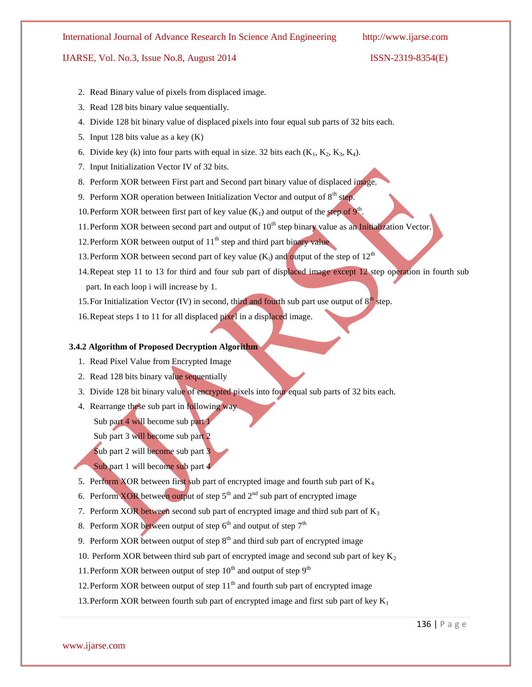- 2. Read Binary value of pixels from displaced image.
- 3. Read 128 bits binary value sequentially.
- 4. Divide 128 bit binary value of displaced pixels into four equal sub parts of 32 bits each.
- 5. Input 128 bits value as a key (K)
- 6. Divide key (k) into four parts with equal in size. 32 bits each  $(K_1, K_2, K_3, K_4)$ .
- 7. Input Initialization Vector IV of 32 bits.
- 8. Perform XOR between First part and Second part binary value of displaced image.
- 9. Perform XOR operation between Initialization Vector and output of  $8<sup>th</sup>$  step.
- 10. Perform XOR between first part of key value  $(K_1)$  and output of the step of  $9<sup>th</sup>$ .
- 11. Perform XOR between second part and output of  $10<sup>th</sup>$  step binary value as an Initialization Vector.
- 12. Perform XOR between output of  $11<sup>th</sup>$  step and third part binary value
- 13. Perform XOR between second part of key value  $(K_i)$  and output of the step of  $12<sup>th</sup>$
- 14.Repeat step 11 to 13 for third and four sub part of displaced image except 12 step operation in fourth sub part. In each loop i will increase by 1.
- 15. For Initialization Vector (IV) in second, third and fourth sub part use output of  $8<sup>th</sup>$  step.
- 16.Repeat steps 1 to 11 for all displaced pixel in a displaced image.

### **3.4.2 Algorithm of Proposed Decryption Algorithm**

- 1. Read Pixel Value from Encrypted Image
- 2. Read 128 bits binary value sequentially
- 3. Divide 128 bit binary value of encrypted pixels into four equal sub parts of 32 bits each.
- 4. Rearrange these sub part in following way Sub part 4 will become sub part 1
	- Sub part 3 will become sub part 2
	- Sub part 2 will become sub part 3
	- Sub part 1 will become sub part 4
- 5. Perform XOR between first sub part of encrypted image and fourth sub part of  $K_4$
- 6. Perform XOR between output of step  $5<sup>th</sup>$  and  $2<sup>nd</sup>$  sub part of encrypted image
- 7. Perform XOR between second sub part of encrypted image and third sub part of  $K_3$
- 8. Perform XOR between output of step  $6<sup>th</sup>$  and output of step  $7<sup>th</sup>$
- 9. Perform XOR between output of step  $8<sup>th</sup>$  and third sub part of encrypted image
- 10. Perform XOR between third sub part of encrypted image and second sub part of key  $K<sub>2</sub>$
- 11. Perform XOR between output of step  $10^{th}$  and output of step  $9^{th}$
- 12. Perform XOR between output of step  $11<sup>th</sup>$  and fourth sub part of encrypted image
- 13. Perform XOR between fourth sub part of encrypted image and first sub part of key  $K_1$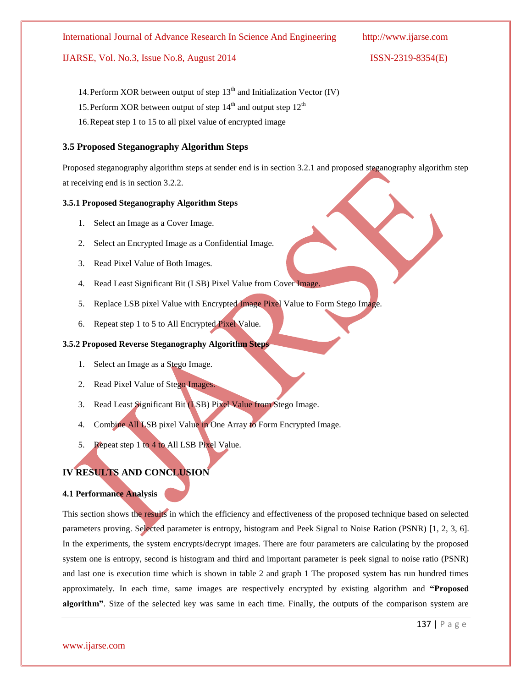- 14. Perform XOR between output of step  $13<sup>th</sup>$  and Initialization Vector (IV)
- 15. Perform XOR between output of step  $14<sup>th</sup>$  and output step  $12<sup>th</sup>$
- 16.Repeat step 1 to 15 to all pixel value of encrypted image

# **3.5 Proposed Steganography Algorithm Steps**

Proposed steganography algorithm steps at sender end is in section 3.2.1 and proposed steganography algorithm step at receiving end is in section 3.2.2.

### **3.5.1 Proposed Steganography Algorithm Steps**

- 1. Select an Image as a Cover Image.
- 2. Select an Encrypted Image as a Confidential Image.
- 3. Read Pixel Value of Both Images.
- 4. Read Least Significant Bit (LSB) Pixel Value from Cover Image.
- 5. Replace LSB pixel Value with Encrypted Image Pixel Value to Form Stego Image.
- 6. Repeat step 1 to 5 to All Encrypted Pixel Value.

# **3.5.2 Proposed Reverse Steganography Algorithm Steps**

- 1. Select an Image as a Stego Image.
- 2. Read Pixel Value of Stego Images.
- 3. Read Least Significant Bit (LSB) Pixel Value from Stego Image.
- 4. Combine All LSB pixel Value in One Array to Form Encrypted Image.
- 5. Repeat step 1 to 4 to All LSB Pixel Value.

# **IV RESULTS AND CONCLUSION**

### **4.1 Performance Analysis**

www.ijarse.com

This section shows the results in which the efficiency and effectiveness of the proposed technique based on selected parameters proving. Selected parameter is entropy, histogram and Peek Signal to Noise Ration (PSNR) [1, 2, 3, 6]. In the experiments, the system encrypts/decrypt images. There are four parameters are calculating by the proposed system one is entropy, second is histogram and third and important parameter is peek signal to noise ratio (PSNR) and last one is execution time which is shown in table 2 and graph 1 The proposed system has run hundred times approximately. In each time, same images are respectively encrypted by existing algorithm and **"Proposed algorithm"**. Size of the selected key was same in each time. Finally, the outputs of the comparison system are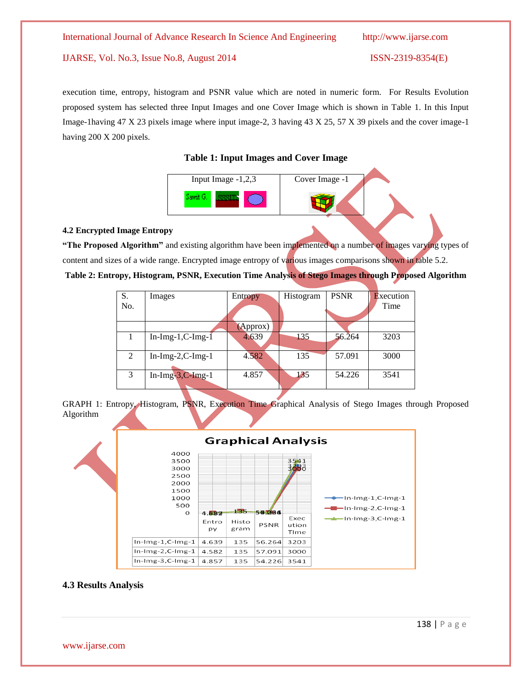execution time, entropy, histogram and PSNR value which are noted in numeric form. For Results Evolution proposed system has selected three Input Images and one Cover Image which is shown in Table 1. In this Input Image-1having 47 X 23 pixels image where input image-2, 3 having 43 X 25, 57 X 39 pixels and the cover image-1 having 200 X 200 pixels.

# **Table 1: Input Images and Cover Image**



### **4.2 Encrypted Image Entropy**

**"The Proposed Algorithm"** and existing algorithm have been implemented on a number of images varying types of content and sizes of a wide range. Encrypted image entropy of various images comparisons shown in table 5.2.

| Table 2: Entropy, Histogram, PSNR, Execution Time Analysis of Stego Images through Proposed Algorithm |  |  |
|-------------------------------------------------------------------------------------------------------|--|--|
|                                                                                                       |  |  |

| <b>Execution</b> |
|------------------|
| Time             |
|                  |
|                  |
| 3203             |
|                  |
| 3000             |
|                  |
| 3541             |
|                  |
|                  |

GRAPH 1: Entropy, Histogram, PSNR, Execution Time Graphical Analysis of Stego Images through Proposed Algorithm



### **4.3 Results Analysis**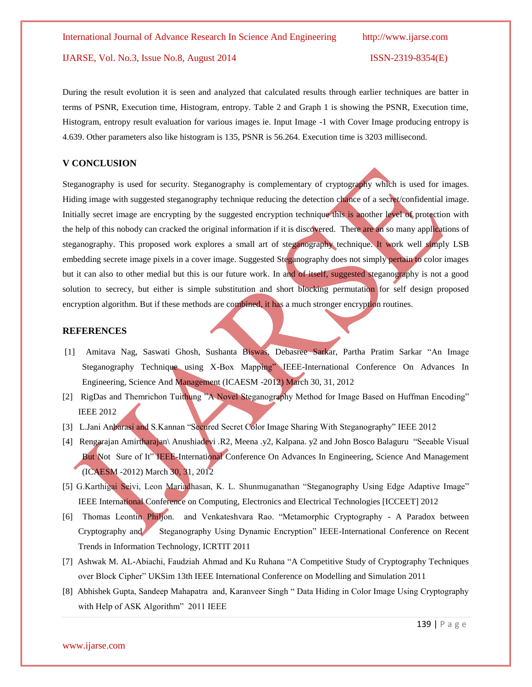During the result evolution it is seen and analyzed that calculated results through earlier techniques are batter in terms of PSNR, Execution time, Histogram, entropy. Table 2 and Graph 1 is showing the PSNR, Execution time, Histogram, entropy result evaluation for various images ie. Input Image -1 with Cover Image producing entropy is 4.639. Other parameters also like histogram is 135, PSNR is 56.264. Execution time is 3203 millisecond.

# **V CONCLUSION**

Steganography is used for security. Steganography is complementary of cryptography which is used for images. Hiding image with suggested steganography technique reducing the detection chance of a secret/confidential image. Initially secret image are encrypting by the suggested encryption technique this is another level of protection with the help of this nobody can cracked the original information if it is discovered. There are an so many applications of steganography. This proposed work explores a small art of steganography technique. It work well simply LSB embedding secrete image pixels in a cover image. Suggested Steganography does not simply pertain to color images but it can also to other medial but this is our future work. In and of itself, suggested steganography is not a good solution to secrecy, but either is simple substitution and short blocking permutation for self design proposed encryption algorithm. But if these methods are combined, it has a much stronger encryption routines.

### **REFERENCES**

- [1] Amitava Nag, Saswati Ghosh, Sushanta Biswas, Debasree Sarkar, Partha Pratim Sarkar "An Image Steganography Technique using X-Box Mapping" IEEE-International Conference On Advances In Engineering, Science And Management (ICAESM -2012) March 30, 31, 2012
- [2] RigDas and Themrichon Tuithung "A Novel Steganography Method for Image Based on Huffman Encoding" IEEE 2012
- [3] L.Jani Anbarasi and S.Kannan "Secured Secret Color Image Sharing With Steganography" IEEE 2012
- [4] Rengarajan Amirtharajan\ Anushiadevi .R2, Meena .y2, Kalpana. y2 and John Bosco Balaguru "Seeable Visual But Not Sure of It" IEEE-International Conference On Advances In Engineering, Science And Management (ICAESM -2012) March 30, 31, 2012
- [5] G.Karthigai Seivi, Leon Mariadhasan, K. L. Shunmuganathan "Steganography Using Edge Adaptive Image" IEEE International Conference on Computing, Electronics and Electrical Technologies [ICCEET] 2012
- [6] Thomas Leontin Philjon. and Venkateshvara Rao. "Metamorphic Cryptography A Paradox between Cryptography and Steganography Using Dynamic Encryption" IEEE-International Conference on Recent Trends in Information Technology, ICRTIT 2011
- [7] Ashwak M. AL-Abiachi, Faudziah Ahmad and Ku Ruhana "A Competitive Study of Cryptography Techniques over Block Cipher" UKSim 13th IEEE International Conference on Modelling and Simulation 2011
- [8] Abhishek Gupta, Sandeep Mahapatra and, Karanveer Singh " Data Hiding in Color Image Using Cryptography with Help of ASK Algorithm" 2011 IEEE